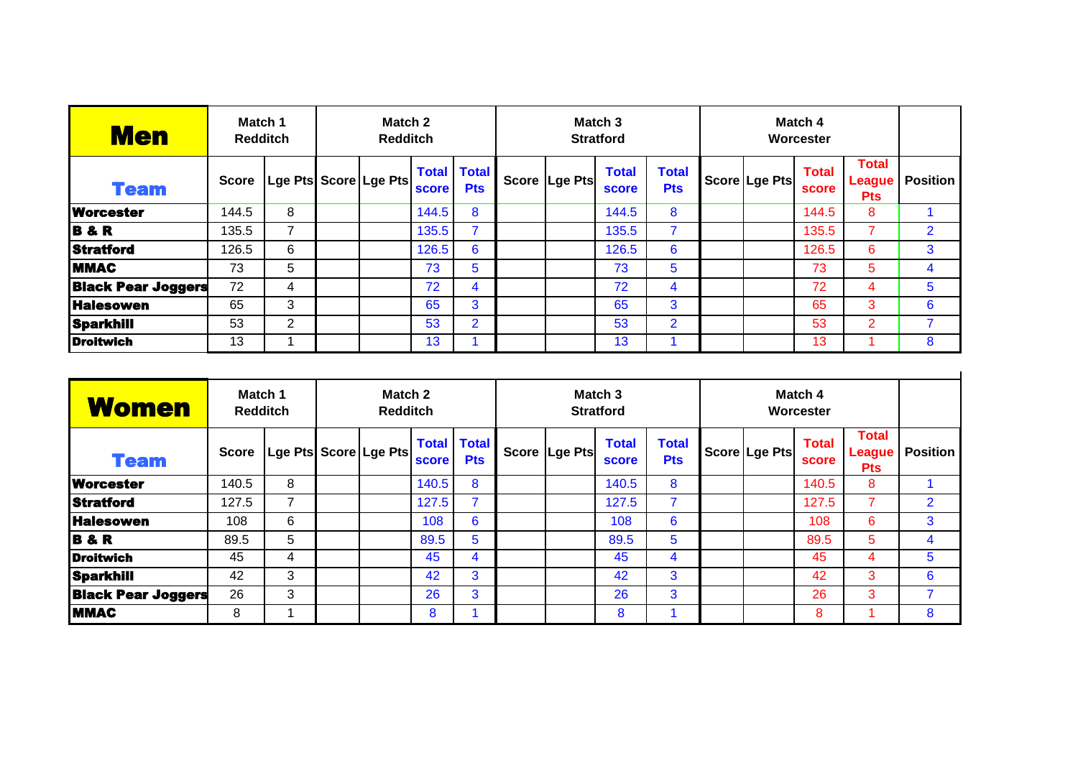| <b>Men</b>                | Match 1<br><b>Redditch</b> |                | Match 2<br><b>Redditch</b> |                         |                       |                            |                 | Match <sub>3</sub><br><b>Stratford</b> |                            |  |               |                       |                                             |                 |
|---------------------------|----------------------------|----------------|----------------------------|-------------------------|-----------------------|----------------------------|-----------------|----------------------------------------|----------------------------|--|---------------|-----------------------|---------------------------------------------|-----------------|
| <b>Team</b>               | <b>Score</b>               |                |                            | Lge Pts Score   Lge Pts | <b>Total</b><br>score | <b>Total</b><br><b>Pts</b> | Score   Lge Pts | <b>Total</b><br><b>score</b>           | <b>Total</b><br><b>Pts</b> |  | Score Lge Pts | <b>Total</b><br>score | <b>Total</b><br><b>League</b><br><b>Pts</b> | <b>Position</b> |
| <b>Worcester</b>          | 144.5                      | 8              |                            |                         | 144.5                 | 8                          |                 | 144.5                                  | 8                          |  |               | 144.5                 | 8                                           |                 |
| <b>B&amp;R</b>            | 135.5                      | 7              |                            |                         | 135.5                 | $\overline{7}$             |                 | 135.5                                  |                            |  |               | 135.5                 |                                             | $\overline{2}$  |
| Stratford                 | 126.5                      | 6              |                            |                         | 126.5                 | 6                          |                 | 126.5                                  | 6                          |  |               | 126.5                 | 6                                           | 3               |
| <b>MMAC</b>               | 73                         | 5              |                            |                         | 73                    | 5                          |                 | 73                                     | 5                          |  |               | 73                    | 5                                           | 4               |
| <b>Black Pear Joggers</b> | 72                         | 4              |                            |                         | 72                    | 4                          |                 | 72                                     | 4                          |  |               | 72                    | 4                                           | 5               |
| <b>Halesowen</b>          | 65                         | 3              |                            |                         | 65                    | 3                          |                 | 65                                     | 3                          |  |               | 65                    | 3                                           | 6               |
| Sparkhill                 | 53                         | $\overline{2}$ |                            |                         | 53                    | $\overline{2}$             |                 | 53                                     | $\overline{2}$             |  |               | 53                    | $\overline{2}$                              |                 |
| <b>Droitwich</b>          | 13                         |                |                            |                         | 13                    |                            |                 | 13                                     |                            |  |               | 13                    |                                             | 8               |

| <b>Women</b>              | Match 1<br><b>Redditch</b> |                       | Match 2<br><b>Redditch</b> |  |              |                                  |               | Match <sub>3</sub><br><b>Stratford</b> |                            |  |               |                       |                                             |                 |
|---------------------------|----------------------------|-----------------------|----------------------------|--|--------------|----------------------------------|---------------|----------------------------------------|----------------------------|--|---------------|-----------------------|---------------------------------------------|-----------------|
| <b>Team</b>               | <b>Score</b>               | Lge Pts Score Lge Pts |                            |  | <b>score</b> | <b>Total Total</b><br><b>Pts</b> | Score Lge Pts | <b>Total</b><br><b>score</b>           | <b>Total</b><br><b>Pts</b> |  | Score Lge Pts | <b>Total</b><br>score | <b>Total</b><br><b>League</b><br><b>Pts</b> | <b>Position</b> |
| <b>Worcester</b>          | 140.5                      | 8                     |                            |  | 140.5        | 8                                |               | 140.5                                  | 8                          |  |               | 140.5                 | 8                                           |                 |
| <b>Stratford</b>          | 127.5                      |                       |                            |  | 127.5        |                                  |               | 127.5                                  |                            |  |               | 127.5                 |                                             | $\overline{2}$  |
| <b>Halesowen</b>          | 108                        | 6                     |                            |  | 108          | 6                                |               | 108                                    | 6                          |  |               | 108                   | 6                                           | 3               |
| <b>B&amp;R</b>            | 89.5                       | 5                     |                            |  | 89.5         | 5                                |               | 89.5                                   | 5                          |  |               | 89.5                  | 5                                           | 4               |
| <b>Droitwich</b>          | 45                         | 4                     |                            |  | 45           | 4                                |               | 45                                     | 4                          |  |               | 45                    |                                             | 5               |
| Sparkhill                 | 42                         | 3                     |                            |  | 42           | 3                                |               | 42                                     | 3                          |  |               | 42                    | 3                                           | 6               |
| <b>Black Pear Joggers</b> | 26                         | 3                     |                            |  | 26           | 3                                |               | 26                                     | 3                          |  |               | 26                    | 3                                           | 7               |
| <b>MMAC</b>               | 8                          |                       |                            |  | 8            |                                  |               | 8                                      |                            |  |               | 8                     |                                             | 8               |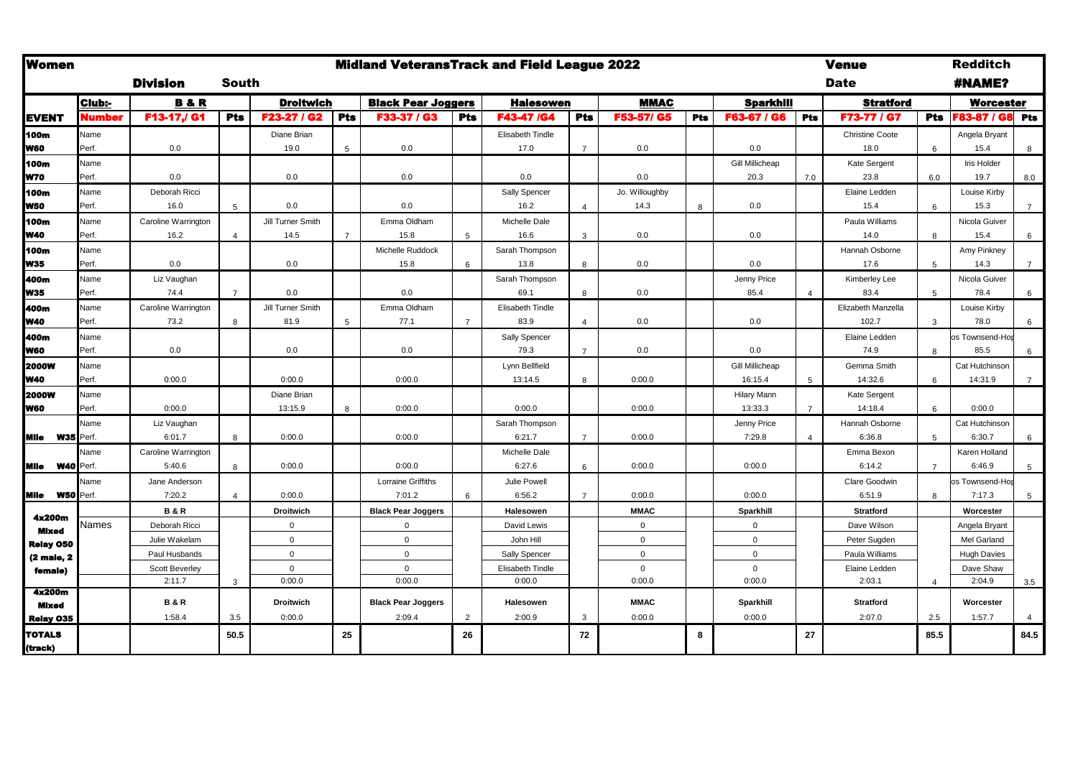| <b>Women</b>             |        |                     |                        |                   |                | <b>Midland VeteransTrack and Field League 2022</b> |                |                      |                |                |     |                  |                | <b>Venue</b>           |                | <b>Redditch</b>    |                 |
|--------------------------|--------|---------------------|------------------------|-------------------|----------------|----------------------------------------------------|----------------|----------------------|----------------|----------------|-----|------------------|----------------|------------------------|----------------|--------------------|-----------------|
|                          |        | <b>Division</b>     | South                  |                   |                |                                                    |                |                      |                |                |     |                  |                | <b>Date</b>            |                | <b>#NAME?</b>      |                 |
|                          | Club:- | <b>B&amp;R</b>      |                        | <b>Droitwich</b>  |                | <b>Black Pear Joggers</b>                          |                | <b>Halesowen</b>     |                | <b>MMAC</b>    |     | <b>Sparkhill</b> |                | <b>Stratford</b>       |                | <b>Worcester</b>   |                 |
| <b>EVENT</b>             | Number | F13-17,/ G1         | <b>Pts</b>             | F23-27 / G2       | <b>Pts</b>     | F33-37 / G3                                        | <b>Pts</b>     | F43-47 /G4           | <b>Pts</b>     | F53-57/ G5     | Pts | F63-67 / G6      | <b>Pts</b>     | F73-77 / G7            | <b>Pts</b>     | F83-87 / G8 Pts    |                 |
| 100m                     | Name   |                     |                        | Diane Brian       |                |                                                    |                | Elisabeth Tindle     |                |                |     |                  |                | <b>Christine Coote</b> |                | Angela Bryant      |                 |
| W60                      | Perf.  | 0.0                 |                        | 19.0              | 5              | 0.0                                                |                | 17.0                 | $\overline{7}$ | 0.0            |     | 0.0              |                | 18.0                   | 6              | 15.4               | 8               |
| 100m                     | Name   |                     |                        |                   |                |                                                    |                |                      |                |                |     | Gill Millicheap  |                | Kate Sergent           |                | Iris Holder        |                 |
| N70                      | Perf.  | 0.0                 |                        | 0.0               |                | 0.0                                                |                | 0.0                  |                | 0.0            |     | 20.3             | 7.0            | 23.8                   | 6.0            | 19.7               | 8.0             |
| 100m                     | Name   | Deborah Ricci       |                        |                   |                |                                                    |                | Sally Spencer        |                | Jo. Willoughby |     |                  |                | Elaine Ledden          |                | Louise Kirby       |                 |
| W50                      | Perf.  | 16.0                | 5                      | 0.0               |                | 0.0                                                |                | 16.2                 |                | 14.3           | 8   | 0.0              |                | 15.4                   | 6              | 15.3               | $\overline{7}$  |
| 100m                     | Name   | Caroline Warrington |                        | Jill Turner Smith |                | Emma Oldham                                        |                | <b>Michelle Dale</b> |                |                |     |                  |                | Paula Williams         |                | Nicola Guiver      |                 |
| W40                      | Perf.  | 16.2                | $\overline{4}$         | 14.5              | $\overline{7}$ | 15.8                                               | 5              | 16.6                 | 3              | 0.0            |     | 0.0              |                | 14.0                   | 8              | 15.4               | 6               |
| 100m                     | Name   |                     |                        |                   |                | Michelle Ruddock                                   |                | Sarah Thompson       |                |                |     |                  |                | Hannah Osborne         |                | Amy Pinkney        |                 |
| W35                      | Perf.  | 0.0                 |                        | 0.0               |                | 15.8                                               | 6              | 13.8                 | 8              | 0.0            |     | 0.0              |                | 17.6                   | 5              | 14.3               | $7\overline{ }$ |
| 400m                     | Name   | Liz Vaughan         |                        |                   |                |                                                    |                | Sarah Thompson       |                |                |     | Jenny Price      |                | Kimberley Lee          |                | Nicola Guiver      |                 |
| W35                      | Perf.  | 74.4                | $\overline{7}$         | 0.0               |                | 0.0                                                |                | 69.1                 | 8              | 0.0            |     | 85.4             | $\overline{a}$ | 83.4                   | 5              | 78.4               | 6               |
| 400m                     | Name   | Caroline Warrington |                        | Jill Turner Smith |                | Emma Oldham                                        |                | Elisabeth Tindle     |                |                |     |                  |                | Elizabeth Manzella     |                | Louise Kirby       |                 |
| W40                      | Perf.  | 73.2                | 8                      | 81.9              | 5              | 77.1                                               | $\overline{7}$ | 83.9                 | $\Delta$       | 0.0            |     | 0.0              |                | 102.7                  | 3              | 78.0               | 6               |
| 400m                     | Name   |                     |                        |                   |                |                                                    |                | Sally Spencer        |                |                |     |                  |                | Elaine Ledden          |                | os Townsend-Hop    |                 |
| W60                      | Perf.  | 0.0                 |                        | 0.0               |                | 0.0                                                |                | 79.3                 |                | 0.0            |     | 0.0              |                | 74.9                   | $\mathsf{R}$   | 85.5               | 6               |
| <b>2000W</b>             | Name   |                     |                        |                   |                |                                                    |                | Lynn Bellfield       |                |                |     | Gill Millicheap  |                | Gemma Smith            |                | Cat Hutchinson     |                 |
| W40                      | Perf.  | 0:00.0              |                        | 0:00.0            |                | 0:00.0                                             |                | 13:14.5              | 8              | 0:00.0         |     | 16:15.4          | 5              | 14:32.6                | 6              | 14:31.9            | $\overline{7}$  |
| <b>2000W</b>             | Name   |                     |                        | Diane Brian       |                |                                                    |                |                      |                |                |     | Hilary Mann      |                | Kate Sergent           |                |                    |                 |
| W60                      | Perf.  | 0:00.0              |                        | 13:15.9           | 8              | 0:00.0                                             |                | 0:00.0               |                | 0:00.0         |     | 13:33.3          | $\overline{7}$ | 14:18.4                | $\epsilon$     | 0:00.0             |                 |
|                          | Name   | Liz Vaughan         |                        |                   |                |                                                    |                | Sarah Thompson       |                |                |     | Jenny Price      |                | Hannah Osborne         |                | Cat Hutchinson     |                 |
| Mile<br><b>W35</b> Perf. |        | 6:01.7              | 8                      | 0:00.0            |                | 0:00.0                                             |                | 6:21.7               |                | 0:00.0         |     | 7:29.8           | $\Delta$       | 6:36.8                 | 5              | 6:30.7             | 6               |
|                          | Name   | Caroline Warrington |                        |                   |                |                                                    |                | Michelle Dale        |                |                |     |                  |                | Emma Bexon             |                | Karen Holland      |                 |
| Mile<br><b>W40</b> Perf. |        | 5:40.6              | 8                      | 0:00.0            |                | 0:00.0                                             |                | 6:27.6               | 6              | 0:00.0         |     | 0:00.0           |                | 6:14.2                 | $\overline{7}$ | 6:46.9             | 5 <sup>5</sup>  |
|                          | Name   | Jane Anderson       |                        |                   |                | <b>Lorraine Griffiths</b>                          |                | <b>Julie Powell</b>  |                |                |     |                  |                | Clare Goodwin          |                | os Townsend-Hop    |                 |
| Mile<br><b>W50</b> Perf. |        | 7:20.2              | $\boldsymbol{\Lambda}$ | 0:00.0            |                | 7:01.2                                             | 6              | 6:56.2               |                | 0:00.0         |     | 0:00.0           |                | 6:51.9                 | $\mathsf{R}$   | 7:17.3             | 5 <sup>5</sup>  |
| 4x200m                   |        | <b>B&amp;R</b>      |                        | Droitwich         |                | <b>Black Pear Joggers</b>                          |                | Halesowen            |                | <b>MMAC</b>    |     | Sparkhill        |                | <b>Stratford</b>       |                | Worcester          |                 |
| <b>Mixed</b>             | Names  | Deborah Ricci       |                        | $\mathbf 0$       |                | $\Omega$                                           |                | David Lewis          |                | $\mathbf 0$    |     | $\mathbf 0$      |                | Dave Wilson            |                | Angela Bryant      |                 |
| <b>Relay 050</b>         |        | Julie Wakelam       |                        | $\mathbf 0$       |                | $\mathbf 0$                                        |                | John Hill            |                | $\mathbf 0$    |     | $\mathbf 0$      |                | Peter Sugden           |                | Mel Garland        |                 |
| (2 male, 2               |        | Paul Husbands       |                        | $\Omega$          |                | $\Omega$                                           |                | Sally Spencer        |                | $\mathbf{0}$   |     | $\Omega$         |                | Paula Williams         |                | <b>Hugh Davies</b> |                 |
| female)                  |        | Scott Beverley      |                        | $\mathbf 0$       |                | $\mathbf 0$                                        |                | Elisabeth Tindle     |                | $\mathbf 0$    |     | $\mathbf 0$      |                | Elaine Ledden          |                | Dave Shaw          |                 |
|                          |        | 2:11.7              | $\mathbf{3}$           | 0:00.0            |                | 0:00.0                                             |                | 0:00.0               |                | 0:00.0         |     | 0:00.0           |                | 2:03.1                 | $\overline{4}$ | 2:04.9             | 3.5             |
| 4x200m                   |        | <b>B&amp;R</b>      |                        | <b>Droitwich</b>  |                | <b>Black Pear Joggers</b>                          |                | Halesowen            |                | <b>MMAC</b>    |     | Sparkhill        |                | <b>Stratford</b>       |                | Worcester          |                 |
| <b>Mixed</b>             |        | 1:58.4              | 3.5                    | 0:00.0            |                | 2:09.4                                             | 2              | 2:00.9               | 3              | 0:00.0         |     | 0:00.0           |                | 2:07.0                 | 2.5            | 1:57.7             | 4               |
| Relay 035                |        |                     |                        |                   |                |                                                    |                |                      |                |                |     |                  |                |                        |                |                    |                 |
| <b>TOTALS</b>            |        |                     | 50.5                   |                   | 25             |                                                    | 26             |                      | 72             |                | 8   |                  | 27             |                        | 85.5           |                    | 84.5            |
| (track)                  |        |                     |                        |                   |                |                                                    |                |                      |                |                |     |                  |                |                        |                |                    |                 |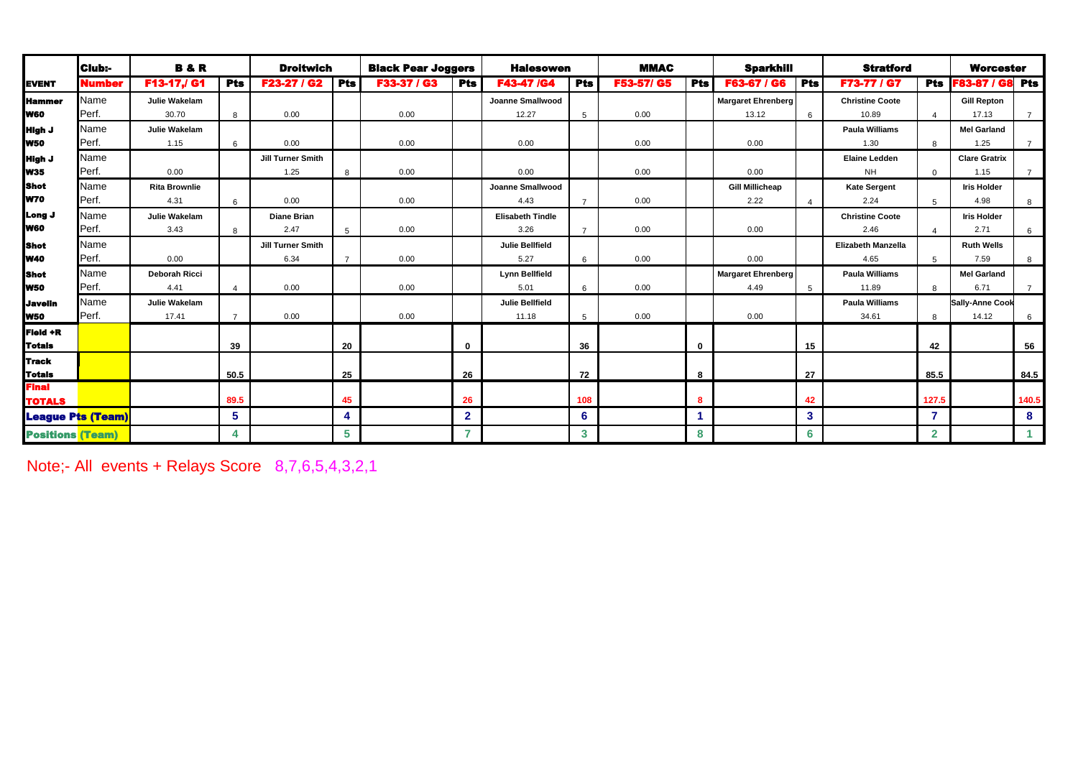|                         | Club:-                   | <b>B&amp;R</b><br><b>Droitwich</b> |                | <b>Black Pear Joggers</b> |            | <b>Halesowen</b> |              | <b>MMAC</b>             |                | <b>Sparkhill</b> |            | <b>Stratford</b>          |                | <b>Worcester</b>          |                |                        |                |
|-------------------------|--------------------------|------------------------------------|----------------|---------------------------|------------|------------------|--------------|-------------------------|----------------|------------------|------------|---------------------------|----------------|---------------------------|----------------|------------------------|----------------|
| <b>EVENT</b>            | Number                   | F13-17,/ G1                        | Pts            | F23-27 / G2               | <b>Pts</b> | F33-37 / G3      | <b>Pts</b>   | <b>F43-47 /G4</b>       | <b>Pts</b>     | F53-57/ G5       | <b>Pts</b> | F63-67 / G6               | <b>Pts</b>     | F73-77 / G7               | <b>Pts</b>     | <b>F83-87 / G8</b>     | <b>Pts</b>     |
| <b>Hammer</b>           | Name                     | Julie Wakelam                      |                |                           |            |                  |              | Joanne Smallwood        |                |                  |            | <b>Margaret Ehrenberg</b> |                | <b>Christine Coote</b>    |                | <b>Gill Repton</b>     |                |
| <b>Iw60</b>             | Perf.                    | 30.70                              | 8              | 0.00                      |            | 0.00             |              | 12.27                   | 5              | 0.00             |            | 13.12                     | 6              | 10.89                     | $\Delta$       | 17.13                  | $\overline{7}$ |
| <b>High J</b>           | Name                     | Julie Wakelam                      |                |                           |            |                  |              |                         |                |                  |            |                           |                | <b>Paula Williams</b>     |                | <b>Mel Garland</b>     |                |
| <b>W50</b>              | Perf.                    | 1.15                               | 6              | 0.00                      |            | 0.00             |              | 0.00                    |                | 0.00             |            | 0.00                      |                | 1.30                      | 8              | 1.25                   | $\overline{7}$ |
| <b>High J</b>           | Name                     |                                    |                | Jill Turner Smith         |            |                  |              |                         |                |                  |            |                           |                | <b>Elaine Ledden</b>      |                | <b>Clare Gratrix</b>   |                |
| <b>W35</b>              | Perf.                    | 0.00                               |                | 1.25                      | 8          | 0.00             |              | 0.00                    |                | 0.00             |            | 0.00                      |                | <b>NH</b>                 | $\Omega$       | 1.15                   | $\overline{7}$ |
| <b>Shot</b>             | Name                     | <b>Rita Brownlie</b>               |                |                           |            |                  |              | Joanne Smallwood        |                |                  |            | <b>Gill Millicheap</b>    |                | <b>Kate Sergent</b>       |                | <b>Iris Holder</b>     |                |
| <b>W70</b>              | Perf.                    | 4.31                               | 6              | 0.00                      |            | 0.00             |              | 4.43                    | $\overline{7}$ | 0.00             |            | 2.22                      | $\overline{a}$ | 2.24                      | $5^{\circ}$    | 4.98                   | 8              |
| Long J                  | Name                     | Julie Wakelam                      |                | <b>Diane Brian</b>        |            |                  |              | <b>Elisabeth Tindle</b> |                |                  |            |                           |                | <b>Christine Coote</b>    |                | <b>Iris Holder</b>     |                |
| <b>Iw60</b>             | Perf.                    | 3.43                               | $\mathsf{R}$   | 2.47                      | 5          | 0.00             |              | 3.26                    | $\overline{7}$ | 0.00             |            | 0.00                      |                | 2.46                      | $\Delta$       | 2.71                   | 6              |
| <b>Shot</b>             | Name                     |                                    |                | Jill Turner Smith         |            |                  |              | <b>Julie Bellfield</b>  |                |                  |            |                           |                | <b>Elizabeth Manzella</b> |                | <b>Ruth Wells</b>      |                |
| <b>W40</b>              | Perf.                    | 0.00                               |                | 6.34                      |            | 0.00             |              | 5.27                    | 6              | 0.00             |            | 0.00                      |                | 4.65                      | 5              | 7.59                   | 8              |
| <b>IShot</b>            | Name                     | <b>Deborah Ricci</b>               |                |                           |            |                  |              | <b>Lynn Bellfield</b>   |                |                  |            | <b>Margaret Ehrenberg</b> |                | <b>Paula Williams</b>     |                | <b>Mel Garland</b>     |                |
| <b>W50</b>              | Perf.                    | 4.41                               |                | 0.00                      |            | 0.00             |              | 5.01                    | 6              | 0.00             |            | 4.49                      | 5              | 11.89                     | 8              | 6.71                   | $\overline{7}$ |
| <b>Javelin</b>          | Name                     | Julie Wakelam                      |                |                           |            |                  |              | <b>Julie Bellfield</b>  |                |                  |            |                           |                | <b>Paula Williams</b>     |                | <b>Sally-Anne Cook</b> |                |
| <b>W50</b>              | Perf.                    | 17.41                              | $\overline{7}$ | 0.00                      |            | 0.00             |              | 11.18                   | 5              | 0.00             |            | 0.00                      |                | 34.61                     | 8              | 14.12                  | 6              |
| <b>Field +R</b>         |                          |                                    |                |                           |            |                  |              |                         |                |                  |            |                           |                |                           |                |                        |                |
| <b>Totals</b>           |                          |                                    | 39             |                           | 20         |                  | $\bf{0}$     |                         | 36             |                  | $\bf{0}$   |                           | 15             |                           | 42             |                        | 56             |
| <b>i</b> Track          |                          |                                    |                |                           |            |                  |              |                         |                |                  |            |                           |                |                           |                |                        |                |
| <b>Totals</b>           |                          |                                    | 50.5           |                           | 25         |                  | 26           |                         | 72             |                  | 8          |                           | 27             |                           | 85.5           |                        | 84.5           |
| <b>Final</b>            |                          |                                    |                |                           |            |                  |              |                         |                |                  |            |                           |                |                           |                |                        |                |
| <b>TOTALS</b>           |                          |                                    | 89.5           |                           | 45         |                  | 26           |                         | 108            |                  | 8          |                           | 42             |                           | 127.5          |                        | 140.5          |
|                         | <b>League Pts (Team)</b> |                                    | 5              |                           | 4          |                  | $\mathbf{2}$ |                         | 6              |                  |            |                           | 3              |                           | 7              |                        | 8              |
| <b>Positions (Team)</b> |                          |                                    |                |                           | 5          |                  | 7            |                         | $\mathbf{3}$   |                  | 8          |                           | 6              |                           | $\overline{2}$ |                        |                |

Note;- All events + Relays Score 8,7,6,5,4,3,2,1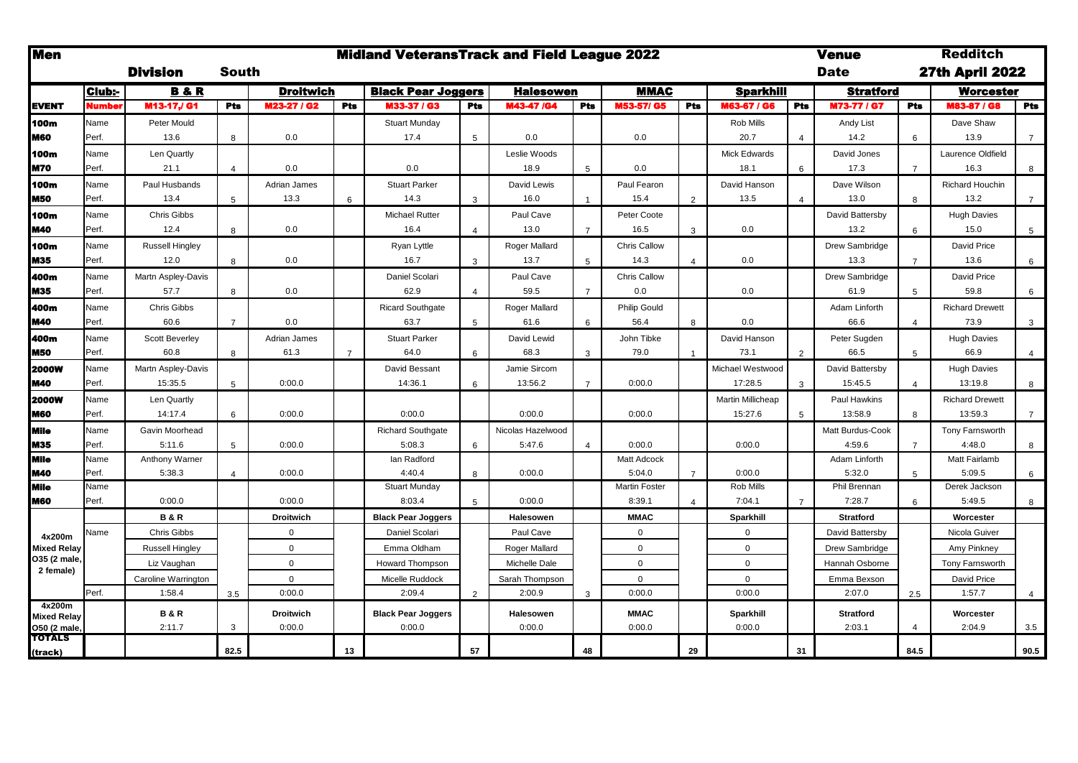| <b>Men</b>                         |              |                        |                |                  |                | <b>Midland VeteransTrack and Field League 2022</b> |                 |                   |                |                      |                |                   |                | <b>Venue</b>       |                          | <b>Redditch</b>        |                |  |
|------------------------------------|--------------|------------------------|----------------|------------------|----------------|----------------------------------------------------|-----------------|-------------------|----------------|----------------------|----------------|-------------------|----------------|--------------------|--------------------------|------------------------|----------------|--|
|                                    |              | <b>Division</b>        | South          |                  |                |                                                    |                 |                   |                |                      |                |                   |                | Date               |                          | <b>27th April 2022</b> |                |  |
|                                    | Club:-       | <b>B&amp;R</b>         |                | <b>Droitwich</b> |                | <b>Black Pear Joggers</b>                          |                 | <b>Halesowen</b>  |                | <b>MMAC</b>          |                | <b>Sparkhill</b>  |                | <b>Stratford</b>   |                          | Worcester              |                |  |
| <b>EVENT</b>                       | <b>Numbe</b> | M13-17J G1             | <b>Pts</b>     | M23-27 / G2      | Pts            | M33-37 / G3                                        | <b>Pts</b>      | M43-47 /G4        | Pts            | M53-57/ G5           | Pts            | M63-67 / G6       | Pts            | <b>M73-77 / G7</b> | <b>Pts</b>               | M83-87 / G8            | <b>Pts</b>     |  |
| 100m                               | Name         | Peter Mould            |                |                  |                | <b>Stuart Munday</b>                               |                 |                   |                |                      |                | Rob Mills         |                | Andy List          |                          | Dave Shaw              |                |  |
| <b>M60</b>                         | Perf.        | 13.6                   | 8              | 0.0              |                | 17.4                                               | 5               | 0.0               |                | 0.0                  |                | 20.7              | $\overline{4}$ | 14.2               | 6                        | 13.9                   | $\overline{7}$ |  |
| 100m                               | Name         | Len Quartly            |                |                  |                |                                                    |                 | Leslie Woods      |                |                      |                | Mick Edwards      |                | David Jones        |                          | Laurence Oldfield      |                |  |
| <b>M70</b>                         | Perf.        | 21.1                   | 4              | 0.0              |                | 0.0                                                |                 | 18.9              | $5^{\circ}$    | 0.0                  |                | 18.1              | 6              | 17.3               | $\overline{7}$           | 16.3                   | 8              |  |
| 100m                               | Name         | Paul Husbands          |                | Adrian James     |                | <b>Stuart Parker</b>                               |                 | David Lewis       |                | Paul Fearon          |                | David Hanson      |                | Dave Wilson        |                          | Richard Houchin        |                |  |
| <b>M50</b>                         | Perf.        | 13.4                   | 5              | 13.3             | 6              | 14.3                                               | 3               | 16.0              |                | 15.4                 | 2              | 13.5              | $\overline{a}$ | 13.0               | 8                        | 13.2                   | $\overline{7}$ |  |
| 100m                               | Name         | Chris Gibbs            |                |                  |                | Michael Rutter                                     |                 | Paul Cave         |                | Peter Coote          |                |                   |                | David Battersby    |                          | <b>Hugh Davies</b>     |                |  |
| <b>M40</b>                         | Perf.        | 12.4                   | 8              | 0.0              |                | 16.4                                               | $\Delta$        | 13.0              | $\overline{7}$ | 16.5                 | 3              | 0.0               |                | 13.2               | 6                        | 15.0                   | 5 <sup>5</sup> |  |
| 100m                               | Name         | <b>Russell Hingley</b> |                |                  |                | Ryan Lyttle                                        |                 | Roger Mallard     |                | Chris Callow         |                |                   |                | Drew Sambridge     |                          | David Price            |                |  |
| <b>M35</b>                         | Perf.        | 12.0                   | 8              | 0.0              |                | 16.7                                               | 3               | 13.7              | 5              | 14.3                 | $\overline{4}$ | 0.0               |                | 13.3               | $\overline{7}$           | 13.6                   | 6              |  |
| 400m                               | Name         | Martn Aspley-Davis     |                |                  |                | Daniel Scolari                                     |                 | Paul Cave         |                | <b>Chris Callow</b>  |                |                   |                | Drew Sambridge     |                          | David Price            |                |  |
| <b>M35</b>                         | Perf.        | 57.7                   | 8              | 0.0              |                | 62.9                                               |                 | 59.5              | 7              | 0.0                  |                | 0.0               |                | 61.9               | 5                        | 59.8                   | 6              |  |
| 400m                               | Name         | <b>Chris Gibbs</b>     |                |                  |                | <b>Ricard Southgate</b>                            |                 | Roger Mallard     |                | Philip Gould         |                |                   |                | Adam Linforth      |                          | <b>Richard Drewett</b> |                |  |
| <b>M40</b>                         | Perf.        | 60.6                   | $\overline{7}$ | 0.0              |                | 63.7                                               | 5               | 61.6              | 6              | 56.4                 | 8              | 0.0               |                | 66.6               | $\overline{4}$           | 73.9                   | $\mathbf{3}$   |  |
| 400m                               | Name         | <b>Scott Beverley</b>  |                | Adrian James     |                | <b>Stuart Parker</b>                               |                 | David Lewid       |                | John Tibke           |                | David Hanson      |                | Peter Sugden       |                          | <b>Hugh Davies</b>     |                |  |
| <b>M50</b>                         | Perf.        | 60.8                   | 8              | 61.3             | $\overline{7}$ | 64.0                                               | 6               | 68.3              | 3              | 79.0                 |                | 73.1              | 2              | 66.5               | 5                        | 66.9                   | $\overline{4}$ |  |
| <b>2000W</b>                       | Name         | Martn Aspley-Davis     |                |                  |                | David Bessant                                      |                 | Jamie Sircom      |                |                      |                | Michael Westwood  |                | David Battersby    |                          | <b>Hugh Davies</b>     |                |  |
| <b>M40</b>                         | Perf.        | 15:35.5                | 5              | 0:00.0           |                | 14:36.1                                            | 6               | 13:56.2           | $\overline{7}$ | 0:00.0               |                | 17:28.5           | 3              | 15:45.5            | $\overline{4}$           | 13:19.8                | 8              |  |
| <b>2000W</b>                       | Name         | Len Quartly            |                |                  |                |                                                    |                 |                   |                |                      |                | Martin Millicheap |                | Paul Hawkins       |                          | <b>Richard Drewett</b> |                |  |
| <b>M60</b>                         | Perf.        | 14:17.4                | 6              | 0:00.0           |                | 0:00.0                                             |                 | 0:00.0            |                | 0:00.0               |                | 15:27.6           | -5             | 13:58.9            | 8                        | 13:59.3                | $\overline{7}$ |  |
| Mile                               | Name         | Gavin Moorhead         |                |                  |                | <b>Richard Southgate</b>                           |                 | Nicolas Hazelwood |                |                      |                |                   |                | Matt Burdus-Cook   |                          | Tony Farnsworth        |                |  |
| <b>M35</b>                         | Perf.        | 5:11.6                 | 5              | 0:00.0           |                | 5:08.3                                             | 6               | 5:47.6            | $\overline{4}$ | 0:00.0               |                | 0:00.0            |                | 4:59.6             | $\overline{7}$           | 4:48.0                 | 8              |  |
| <b>Mile</b>                        | Name         | Anthony Warner         |                |                  |                | lan Radford                                        |                 |                   |                | <b>Matt Adcock</b>   |                |                   |                | Adam Linforth      |                          | Matt Fairlamb          |                |  |
| <b>M40</b>                         | Perf.        | 5:38.3                 | Δ              | 0:00.0           |                | 4:40.4                                             | 8               | 0:00.0            |                | 5:04.0               | $\overline{7}$ | 0:00.0            |                | 5:32.0             | 5                        | 5:09.5                 | 6              |  |
| <b>Mile</b>                        | Name         |                        |                |                  |                | <b>Stuart Munday</b>                               |                 |                   |                | <b>Martin Foster</b> |                | Rob Mills         |                | Phil Brennan       |                          | Derek Jackson          |                |  |
| <b>M60</b>                         | Perf.        | 0:00.0                 |                | 0:00.0           |                | 8:03.4                                             | $5\overline{5}$ | 0:00.0            |                | 8:39.1               | $\overline{4}$ | 7:04.1            | $\overline{7}$ | 7:28.7             | 6                        | 5:49.5                 | 8              |  |
|                                    |              | <b>B&amp;R</b>         |                | <b>Droitwich</b> |                | <b>Black Pear Joggers</b>                          |                 | Halesowen         |                | <b>MMAC</b>          |                | Sparkhill         |                | <b>Stratford</b>   |                          | Worcester              |                |  |
| 4x200m                             | Name         | <b>Chris Gibbs</b>     |                | $\mathbf 0$      |                | Daniel Scolari                                     |                 | Paul Cave         |                | 0                    |                | $\mathbf 0$       |                | David Battersby    |                          | Nicola Guiver          |                |  |
| <b>Mixed Relay</b><br>O35 (2 male, |              | <b>Russell Hingley</b> |                | $\mathbf 0$      |                | Emma Oldham                                        |                 | Roger Mallard     |                | 0                    |                | $\mathbf 0$       |                | Drew Sambridge     |                          | Amy Pinkney            |                |  |
| 2 female)                          |              | Liz Vaughan            |                | $\mathbf 0$      |                | Howard Thompson                                    |                 | Michelle Dale     |                | $\mathbf{0}$         |                | $\mathbf 0$       |                | Hannah Osborne     |                          | Tony Farnsworth        |                |  |
|                                    |              | Caroline Warrington    |                | $\mathbf 0$      |                | Micelle Ruddock                                    |                 | Sarah Thompson    |                | $\mathbf{0}$         |                | $\mathbf 0$       |                | Emma Bexson        |                          | David Price            |                |  |
|                                    | Perf.        | 1:58.4                 | 3.5            | 0:00.0           |                | 2:09.4                                             | 2               | 2:00.9            | 3              | 0:00.0               |                | 0:00.0            |                | 2:07.0             | 2.5                      | 1:57.7                 | 4              |  |
| 4x200m<br><b>Mixed Relay</b>       |              | <b>B&amp;R</b>         |                | <b>Droitwich</b> |                | <b>Black Pear Joggers</b>                          |                 | Halesowen         |                | <b>MMAC</b>          |                | Sparkhill         |                | <b>Stratford</b>   |                          | Worcester              |                |  |
| O50 (2 male,                       |              | 2:11.7                 | 3              | 0:00.0           |                | 0:00.0                                             |                 | 0:00.0            |                | 0:00.0               |                | 0:00.0            |                | 2:03.1             | $\overline{\mathcal{A}}$ | 2:04.9                 | 3.5            |  |
| <b>TOTALS</b>                      |              |                        |                |                  |                |                                                    |                 |                   |                |                      |                |                   |                |                    |                          |                        |                |  |
| (track)                            |              |                        | 82.5           |                  | 13             |                                                    | 57              |                   | 48             |                      | 29             |                   | 31             |                    | 84.5                     |                        | 90.5           |  |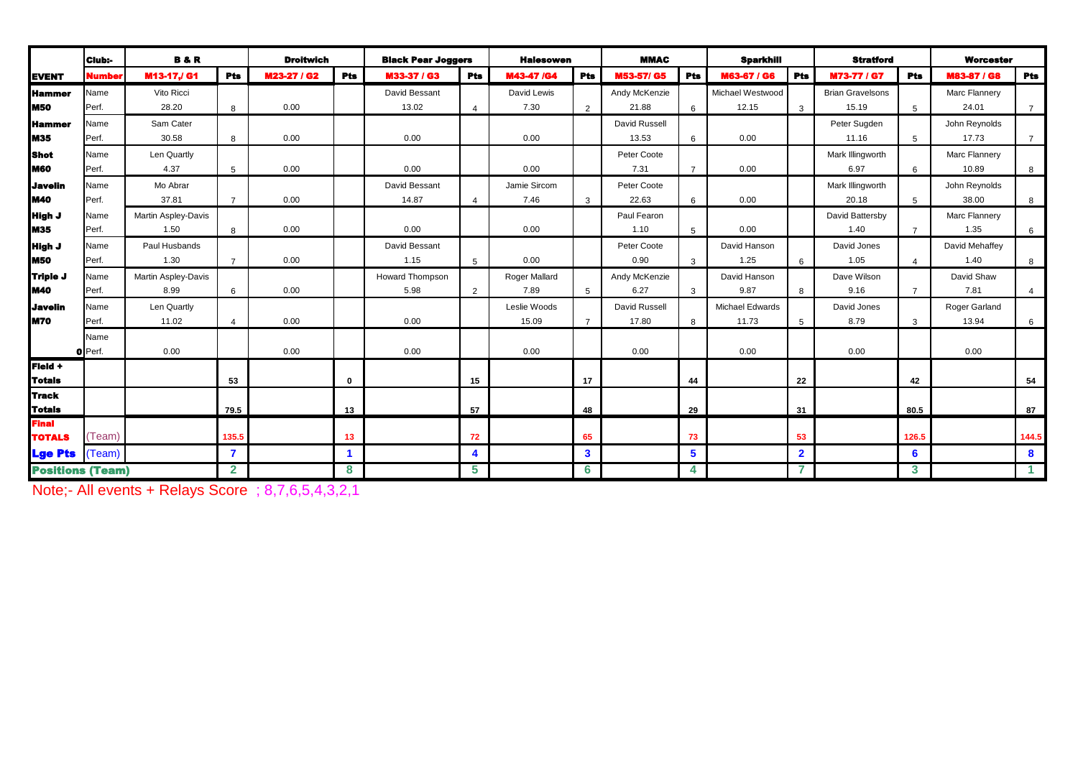|                         | Club:-        | <b>B&amp;R</b>      |                | <b>Droitwich</b> |             | <b>Black Pear Joggers</b> |                         | <b>Halesowen</b>     |                | <b>MMAC</b>   |                | <b>Sparkhill</b>       |                | <b>Stratford</b>        |                 | <b>Worcester</b> |                |
|-------------------------|---------------|---------------------|----------------|------------------|-------------|---------------------------|-------------------------|----------------------|----------------|---------------|----------------|------------------------|----------------|-------------------------|-----------------|------------------|----------------|
| <b>EVENT</b>            | <b>Number</b> | M13-17,/G1          | <b>Pts</b>     | M23-27 / G2      | <b>Pts</b>  | M33-37 / G3               | <b>Pts</b>              | M43-47 /G4           | <b>Pts</b>     | M53-57/G5     | <b>Pts</b>     | M63-67 / G6            | <b>Pts</b>     | M73-77 / G7             | Pts             | M83-87 / G8      | <b>Pts</b>     |
| <b>I</b> Hammer         | Name          | Vito Ricci          |                |                  |             | David Bessant             |                         | David Lewis          |                | Andy McKenzie |                | Michael Westwood       |                | <b>Brian Gravelsons</b> |                 | Marc Flannery    |                |
| lm50                    | Perf.         | 28.20               | 8              | 0.00             |             | 13.02                     | $\Delta$                | 7.30                 | $\overline{2}$ | 21.88         | 6              | 12.15                  | 3              | 15.19                   | 5               | 24.01            | $\overline{7}$ |
| lHammer                 | Name          | Sam Cater           |                |                  |             |                           |                         |                      |                | David Russell |                |                        |                | Peter Sugden            |                 | John Reynolds    |                |
| <b>IM35</b>             | Perf.         | 30.58               | 8              | 0.00             |             | 0.00                      |                         | 0.00                 |                | 13.53         | 6              | 0.00                   |                | 11.16                   | $5\overline{5}$ | 17.73            | $\overline{7}$ |
| l Shot                  | Name          | Len Quartly         |                |                  |             |                           |                         |                      |                | Peter Coote   |                |                        |                | Mark Illingworth        |                 | Marc Flannery    |                |
| <b>IM60</b>             | Perf.         | 4.37                | 5              | 0.00             |             | 0.00                      |                         | 0.00                 |                | 7.31          | $\overline{7}$ | 0.00                   |                | 6.97                    | 6               | 10.89            | 8              |
| <b>i</b> Javelin        | Name          | Mo Abrar            |                |                  |             | David Bessant             |                         | Jamie Sircom         |                | Peter Coote   |                |                        |                | Mark Illingworth        |                 | John Reynolds    |                |
| <b>IM40</b>             | Perf.         | 37.81               | $\overline{7}$ | 0.00             |             | 14.87                     | $\Delta$                | 7.46                 | 3              | 22.63         | 6              | 0.00                   |                | 20.18                   | $5\overline{5}$ | 38.00            | 8              |
| <b>High J</b>           | Name          | Martin Aspley-Davis |                |                  |             |                           |                         |                      |                | Paul Fearon   |                |                        |                | David Battersby         |                 | Marc Flannery    |                |
| <b>IM35</b>             | Perf.         | 1.50                | 8              | 0.00             |             | 0.00                      |                         | 0.00                 |                | 1.10          | 5              | 0.00                   |                | 1.40                    | $\overline{7}$  | 1.35             | 6              |
| <b>High J</b>           | Name          | Paul Husbands       |                |                  |             | David Bessant             |                         |                      |                | Peter Coote   |                | David Hanson           |                | David Jones             |                 | David Mehaffey   |                |
| <b>M50</b>              | Perf.         | 1.30                | $\overline{7}$ | 0.00             |             | 1.15                      | 5                       | 0.00                 |                | 0.90          | 3              | 1.25                   | 6              | 1.05                    | $\overline{4}$  | 1.40             | 8              |
| Triple J                | Name          | Martin Aspley-Davis |                |                  |             | Howard Thompson           |                         | <b>Roger Mallard</b> |                | Andy McKenzie |                | David Hanson           |                | Dave Wilson             |                 | David Shaw       |                |
| <b>IM40</b>             | Perf.         | 8.99                | 6              | 0.00             |             | 5.98                      | 2                       | 7.89                 | 5              | 6.27          | 3              | 9.87                   | 8              | 9.16                    |                 | 7.81             | $\overline{4}$ |
| <b>Javelin</b>          | Name          | Len Quartly         |                |                  |             |                           |                         | Leslie Woods         |                | David Russell |                | <b>Michael Edwards</b> |                | David Jones             |                 | Roger Garland    |                |
| IM70                    | Perf.         | 11.02               | $\overline{4}$ | 0.00             |             | 0.00                      |                         | 15.09                | $\overline{7}$ | 17.80         | 8              | 11.73                  | $5^{\circ}$    | 8.79                    | $\mathbf{3}$    | 13.94            | 6              |
|                         | Name          |                     |                |                  |             |                           |                         |                      |                |               |                |                        |                |                         |                 |                  |                |
|                         | O Perf.       | 0.00                |                | 0.00             |             | 0.00                      |                         | 0.00                 |                | 0.00          |                | 0.00                   |                | 0.00                    |                 | 0.00             |                |
| Field +                 |               |                     |                |                  |             |                           |                         |                      |                |               |                |                        |                |                         |                 |                  |                |
| <b>Totals</b>           |               |                     | 53             |                  | $\mathbf 0$ |                           | 15                      |                      | 17             |               | 44             |                        | 22             |                         | 42              |                  | 54             |
| <b>Track</b>            |               |                     |                |                  |             |                           |                         |                      |                |               |                |                        |                |                         |                 |                  |                |
| <b>Totals</b>           |               |                     | 79.5           |                  | 13          |                           | 57                      |                      | 48             |               | 29             |                        | 31             |                         | 80.5            |                  | 87             |
| Final<br><b>TOTALS</b>  | (Team         |                     | 135.5          |                  | 13          |                           | 72                      |                      | 65             |               | 73             |                        | 53             |                         | 126.5           |                  | 144.5          |
|                         |               |                     | $\overline{7}$ |                  |             |                           | $\overline{\mathbf{A}}$ |                      | $\mathbf{3}$   |               | 5 <sup>5</sup> |                        | $\overline{2}$ |                         |                 |                  |                |
| <b>Lge Pts</b>          | (Team)        |                     |                |                  |             |                           |                         |                      |                |               |                |                        |                |                         | 6               |                  | 8              |
| <b>Positions (Team)</b> |               |                     | $\mathbf{2}$   |                  | 8           |                           | 5                       |                      | 6              |               | 4              |                        |                |                         | 3               |                  | $\mathbf{1}$   |

Note;- All events + Relays Score ; 8,7,6,5,4,3,2,1